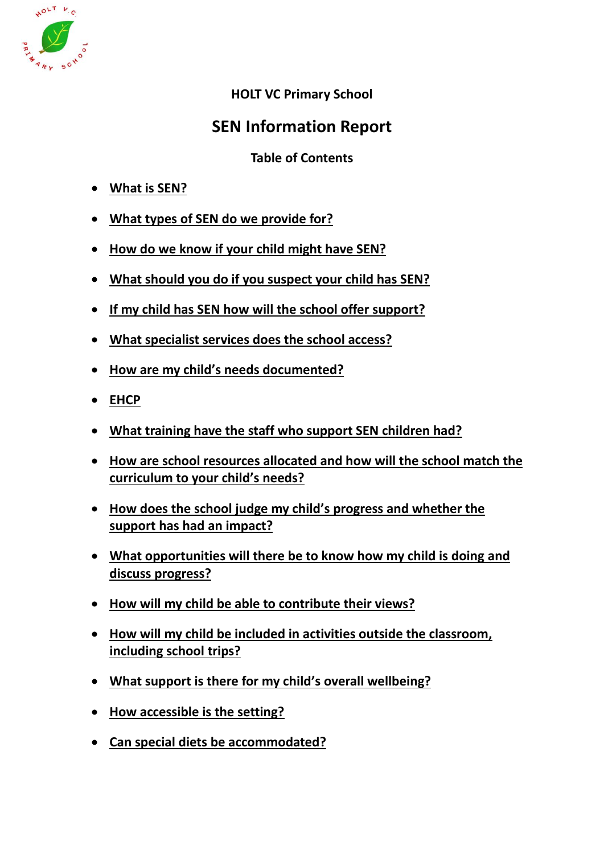

## **HOLT VC Primary School**

# **SEN Information Report**

## **Table of Contents**

- **[What is SEN?](#page-1-0)**
- **[What types of SEN do we provide for?](#page-1-1)**
- **[How do we know if your child might have SEN?](#page-2-0)**
- **[What should you do if you suspect your child has SEN?](#page-2-1)**
- **[If my child has SEN how will the school offer support?](#page-2-2)**
- **[What specialist services does the school access?](#page-3-0)**
- **[How are my child's needs documented?](#page-3-1)**
- **[EHCP](#page-3-2)**
- **[What training have the staff who support SEN children had?](#page-3-3)**
- **[How are school resources allocated and how will the school match the](#page-4-0)  [curriculum to your child's needs?](#page-4-0)**
- **[How does the school judge my child's progress and whether the](#page-5-0)  [support has had an impact?](#page-5-0)**
- **[What opportunities will there be to know how my child is doing and](#page-5-1)  [discuss progress?](#page-5-1)**
- **[How will my child be able to contribute their views?](#page-6-0)**
- **[How will my child be included in activities outside the classroom,](#page-6-1)  [including school trips?](#page-6-1)**
- **[What support is there for my child's overall wellbeing?](#page-6-2)**
- **[How accessible is the setting?](#page-7-0)**
- **[Can special diets be accommodated?](#page-7-1)**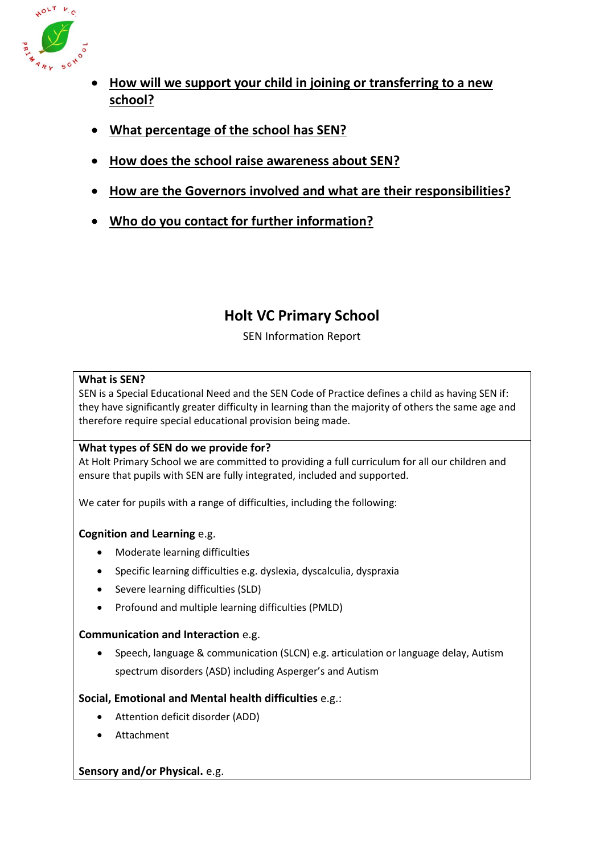

- **[How will we support your child in joining or transferring to a new](#page-7-2)  [school?](#page-7-2)**
- **[What percentage of the school has SEN?](#page-8-0)**
- **[How does the school raise awareness about SEN?](#page-8-1)**
- **[How are the Governors involved and what are their responsibilities?](#page-8-2)**
- **[Who do you contact for further information?](#page-9-0)**

# **Holt VC Primary School**

## SEN Information Report

### <span id="page-1-0"></span>**What is SEN?**

SEN is a Special Educational Need and the SEN Code of Practice defines a child as having SEN if: they have significantly greater difficulty in learning than the majority of others the same age and therefore require special educational provision being made.

## <span id="page-1-1"></span>**What types of SEN do we provide for?**

At Holt Primary School we are committed to providing a full curriculum for all our children and ensure that pupils with SEN are fully integrated, included and supported.

We cater for pupils with a range of difficulties, including the following:

## **Cognition and Learning** e.g.

- Moderate learning difficulties
- Specific learning difficulties e.g. dyslexia, dyscalculia, dyspraxia
- Severe learning difficulties (SLD)
- Profound and multiple learning difficulties (PMLD)

## **Communication and Interaction** e.g.

 Speech, language & communication (SLCN) e.g. articulation or language delay, Autism spectrum disorders (ASD) including Asperger's and Autism

## **Social, Emotional and Mental health difficulties** e.g.:

- Attention deficit disorder (ADD)
- Attachment

#### **Sensory and/or Physical.** e.g.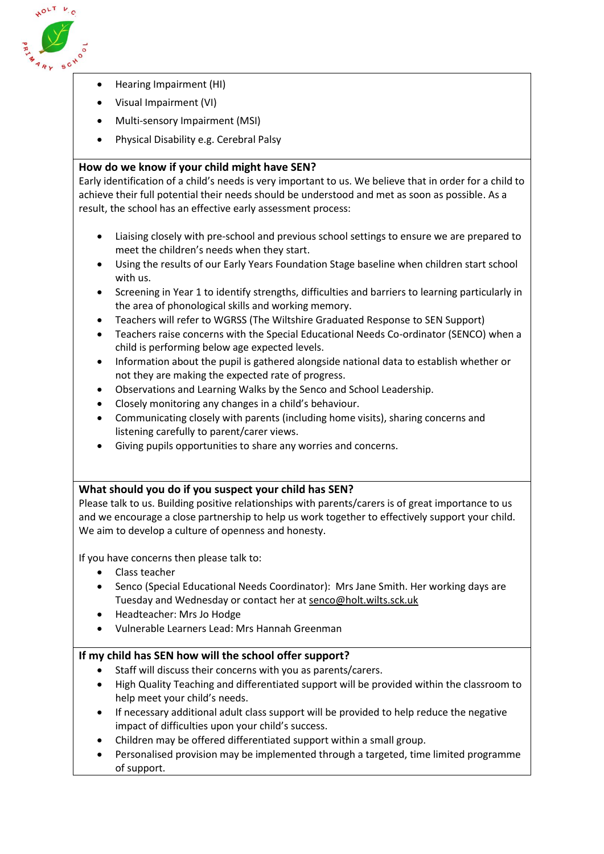

- Hearing Impairment (HI)
- Visual Impairment (VI)
- Multi-sensory Impairment (MSI)
- Physical Disability e.g. Cerebral Palsy

### <span id="page-2-0"></span>**How do we know if your child might have SEN?**

Early identification of a child's needs is very important to us. We believe that in order for a child to achieve their full potential their needs should be understood and met as soon as possible. As a result, the school has an effective early assessment process:

- Liaising closely with pre-school and previous school settings to ensure we are prepared to meet the children's needs when they start.
- Using the results of our Early Years Foundation Stage baseline when children start school with us.
- Screening in Year 1 to identify strengths, difficulties and barriers to learning particularly in the area of phonological skills and working memory.
- Teachers will refer to WGRSS (The Wiltshire Graduated Response to SEN Support)
- Teachers raise concerns with the Special Educational Needs Co-ordinator (SENCO) when a child is performing below age expected levels.
- Information about the pupil is gathered alongside national data to establish whether or not they are making the expected rate of progress.
- Observations and Learning Walks by the Senco and School Leadership.
- Closely monitoring any changes in a child's behaviour.
- Communicating closely with parents (including home visits), sharing concerns and listening carefully to parent/carer views.
- Giving pupils opportunities to share any worries and concerns.

#### <span id="page-2-1"></span>**What should you do if you suspect your child has SEN?**

Please talk to us. Building positive relationships with parents/carers is of great importance to us and we encourage a close partnership to help us work together to effectively support your child. We aim to develop a culture of openness and honesty.

If you have concerns then please talk to:

- Class teacher
- Senco (Special Educational Needs Coordinator): Mrs Jane Smith. Her working days are Tuesday and Wednesday or contact her a[t senco@holt.wilts.sck.uk](mailto:senco@holt.wilts.sck.uk)
- Headteacher: Mrs Jo Hodge
- Vulnerable Learners Lead: Mrs Hannah Greenman

#### <span id="page-2-2"></span>**If my child has SEN how will the school offer support?**

- Staff will discuss their concerns with you as parents/carers.
- High Quality Teaching and differentiated support will be provided within the classroom to help meet your child's needs.
- If necessary additional adult class support will be provided to help reduce the negative impact of difficulties upon your child's success.
- Children may be offered differentiated support within a small group.
- Personalised provision may be implemented through a targeted, time limited programme of support.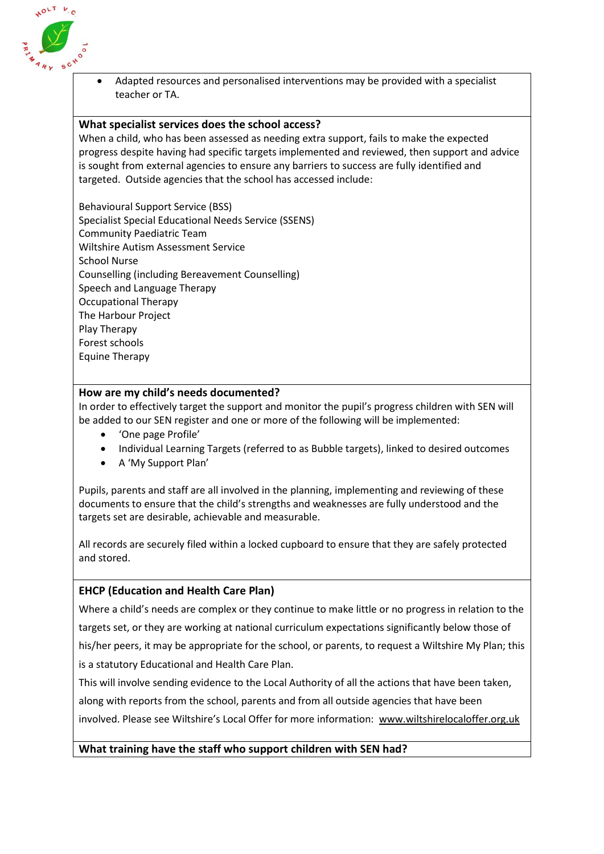

 Adapted resources and personalised interventions may be provided with a specialist teacher or TA.

#### <span id="page-3-0"></span>**What specialist services does the school access?**

When a child, who has been assessed as needing extra support, fails to make the expected progress despite having had specific targets implemented and reviewed, then support and advice is sought from external agencies to ensure any barriers to success are fully identified and targeted. Outside agencies that the school has accessed include:

Behavioural Support Service (BSS) Specialist Special Educational Needs Service (SSENS) Community Paediatric Team Wiltshire Autism Assessment Service School Nurse Counselling (including Bereavement Counselling) Speech and Language Therapy Occupational Therapy The Harbour Project Play Therapy Forest schools Equine Therapy

#### <span id="page-3-1"></span>**How are my child's needs documented?**

In order to effectively target the support and monitor the pupil's progress children with SEN will be added to our SEN register and one or more of the following will be implemented:

- 'One page Profile'
- Individual Learning Targets (referred to as Bubble targets), linked to desired outcomes
- A 'My Support Plan'

Pupils, parents and staff are all involved in the planning, implementing and reviewing of these documents to ensure that the child's strengths and weaknesses are fully understood and the targets set are desirable, achievable and measurable.

All records are securely filed within a locked cupboard to ensure that they are safely protected and stored.

#### <span id="page-3-2"></span>**EHCP (Education and Health Care Plan)**

Where a child's needs are complex or they continue to make little or no progress in relation to the targets set, or they are working at national curriculum expectations significantly below those of his/her peers, it may be appropriate for the school, or parents, to request a Wiltshire My Plan; this is a statutory Educational and Health Care Plan.

This will involve sending evidence to the Local Authority of all the actions that have been taken, along with reports from the school, parents and from all outside agencies that have been involved. Please see Wiltshire's Local Offer for more information: [www.wiltshirelocaloffer.org.uk](http://www.wiltshirelocaloffer.org.uk/) 

#### <span id="page-3-3"></span>**What training have the staff who support children with SEN had?**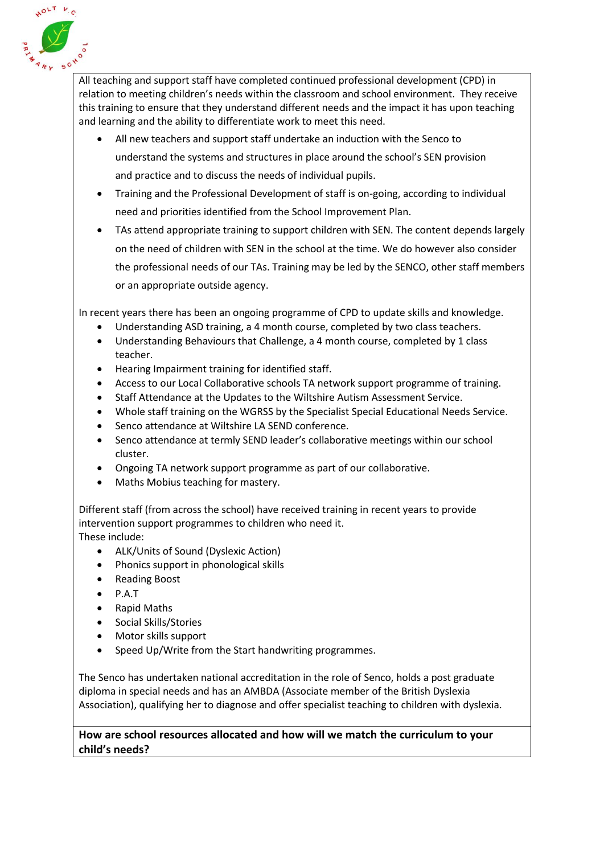

All teaching and support staff have completed continued professional development (CPD) in relation to meeting children's needs within the classroom and school environment. They receive this training to ensure that they understand different needs and the impact it has upon teaching and learning and the ability to differentiate work to meet this need.

- All new teachers and support staff undertake an induction with the Senco to understand the systems and structures in place around the school's SEN provision and practice and to discuss the needs of individual pupils.
- Training and the Professional Development of staff is on-going, according to individual need and priorities identified from the School Improvement Plan.
- TAs attend appropriate training to support children with SEN. The content depends largely on the need of children with SEN in the school at the time. We do however also consider the professional needs of our TAs. Training may be led by the SENCO, other staff members or an appropriate outside agency.

In recent years there has been an ongoing programme of CPD to update skills and knowledge.

- Understanding ASD training, a 4 month course, completed by two class teachers.
- Understanding Behaviours that Challenge, a 4 month course, completed by 1 class teacher.
- Hearing Impairment training for identified staff.
- Access to our Local Collaborative schools TA network support programme of training.
- Staff Attendance at the Updates to the Wiltshire Autism Assessment Service.
- Whole staff training on the WGRSS by the Specialist Special Educational Needs Service.
- Senco attendance at Wiltshire LA SEND conference.
- Senco attendance at termly SEND leader's collaborative meetings within our school cluster.
- Ongoing TA network support programme as part of our collaborative.
- Maths Mobius teaching for mastery.

Different staff (from across the school) have received training in recent years to provide intervention support programmes to children who need it. These include:

- ALK/Units of Sound (Dyslexic Action)
- Phonics support in phonological skills
- Reading Boost
- P.A.T
- Rapid Maths
- Social Skills/Stories
- Motor skills support
- Speed Up/Write from the Start handwriting programmes.

The Senco has undertaken national accreditation in the role of Senco, holds a post graduate diploma in special needs and has an AMBDA (Associate member of the British Dyslexia Association), qualifying her to diagnose and offer specialist teaching to children with dyslexia.

<span id="page-4-0"></span>**How are school resources allocated and how will we match the curriculum to your child's needs?**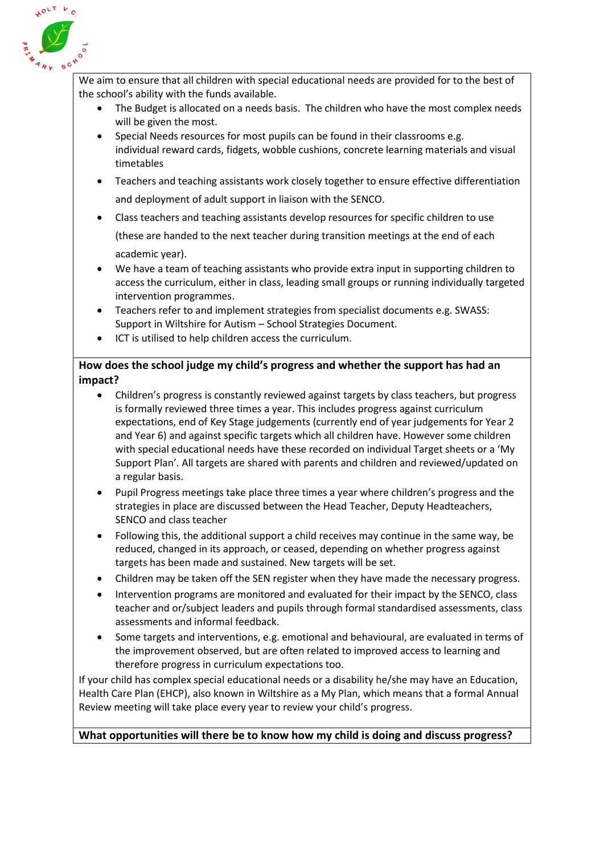

We aim to ensure that all children with special educational needs are provided for to the best of the school's ability with the funds available.

- The Budget is allocated on a needs basis. The children who have the most complex needs will be given the most.
- Special Needs resources for most pupils can be found in their classrooms e.g. individual reward cards, fidgets, wobble cushions, concrete learning materials and visual timetables
- Teachers and teaching assistants work closely together to ensure effective differentiation and deployment of adult support in liaison with the SENCO.
- Class teachers and teaching assistants develop resources for specific children to use

(these are handed to the next teacher during transition meetings at the end of each academic year).

- We have a team of teaching assistants who provide extra input in supporting children to access the curriculum, either in class, leading small groups or running individually targeted intervention programmes.
- Teachers refer to and implement strategies from specialist documents e.g. SWASS: Support in Wiltshire for Autism – School Strategies Document.
- ICT is utilised to help children access the curriculum.

## <span id="page-5-0"></span>**How does the school judge my child's progress and whether the support has had an impact?**

- Children's progress is constantly reviewed against targets by class teachers, but progress is formally reviewed three times a year. This includes progress against curriculum expectations, end of Key Stage judgements (currently end of year judgements for Year 2 and Year 6) and against specific targets which all children have. However some children with special educational needs have these recorded on individual Target sheets or a 'My Support Plan'. All targets are shared with parents and children and reviewed/updated on a regular basis.
- Pupil Progress meetings take place three times a year where children's progress and the strategies in place are discussed between the Head Teacher, Deputy Headteachers, SENCO and class teacher
- Following this, the additional support a child receives may continue in the same way, be reduced, changed in its approach, or ceased, depending on whether progress against targets has been made and sustained. New targets will be set.
- Children may be taken off the SEN register when they have made the necessary progress.
- Intervention programs are monitored and evaluated for their impact by the SENCO, class teacher and or/subject leaders and pupils through formal standardised assessments, class assessments and informal feedback.
- Some targets and interventions, e.g. emotional and behavioural, are evaluated in terms of the improvement observed, but are often related to improved access to learning and therefore progress in curriculum expectations too.

If your child has complex special educational needs or a disability he/she may have an Education, Health Care Plan (EHCP), also known in Wiltshire as a My Plan, which means that a formal Annual Review meeting will take place every year to review your child's progress.

## <span id="page-5-1"></span>**What opportunities will there be to know how my child is doing and discuss progress?**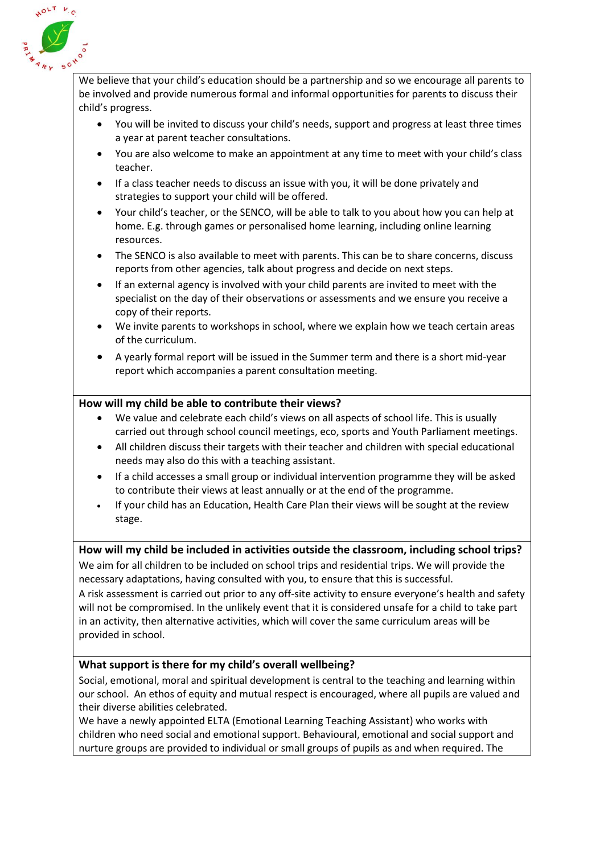

We believe that your child's education should be a partnership and so we encourage all parents to be involved and provide numerous formal and informal opportunities for parents to discuss their child's progress.

- You will be invited to discuss your child's needs, support and progress at least three times a year at parent teacher consultations.
- You are also welcome to make an appointment at any time to meet with your child's class teacher.
- If a class teacher needs to discuss an issue with you, it will be done privately and strategies to support your child will be offered.
- Your child's teacher, or the SENCO, will be able to talk to you about how you can help at home. E.g. through games or personalised home learning, including online learning resources.
- The SENCO is also available to meet with parents. This can be to share concerns, discuss reports from other agencies, talk about progress and decide on next steps.
- If an external agency is involved with your child parents are invited to meet with the specialist on the day of their observations or assessments and we ensure you receive a copy of their reports.
- We invite parents to workshops in school, where we explain how we teach certain areas of the curriculum.
- A yearly formal report will be issued in the Summer term and there is a short mid-year report which accompanies a parent consultation meeting.

### <span id="page-6-0"></span>**How will my child be able to contribute their views?**

- We value and celebrate each child's views on all aspects of school life. This is usually carried out through school council meetings, eco, sports and Youth Parliament meetings.
- All children discuss their targets with their teacher and children with special educational needs may also do this with a teaching assistant.
- If a child accesses a small group or individual intervention programme they will be asked to contribute their views at least annually or at the end of the programme.
- If your child has an Education, Health Care Plan their views will be sought at the review stage.

#### <span id="page-6-1"></span>**How will my child be included in activities outside the classroom, including school trips?**

We aim for all children to be included on school trips and residential trips. We will provide the necessary adaptations, having consulted with you, to ensure that this is successful.

A risk assessment is carried out prior to any off-site activity to ensure everyone's health and safety will not be compromised. In the unlikely event that it is considered unsafe for a child to take part in an activity, then alternative activities, which will cover the same curriculum areas will be provided in school.

#### <span id="page-6-2"></span>**What support is there for my child's overall wellbeing?**

Social, emotional, moral and spiritual development is central to the teaching and learning within our school. An ethos of equity and mutual respect is encouraged, where all pupils are valued and their diverse abilities celebrated.

We have a newly appointed ELTA (Emotional Learning Teaching Assistant) who works with children who need social and emotional support. Behavioural, emotional and social support and nurture groups are provided to individual or small groups of pupils as and when required. The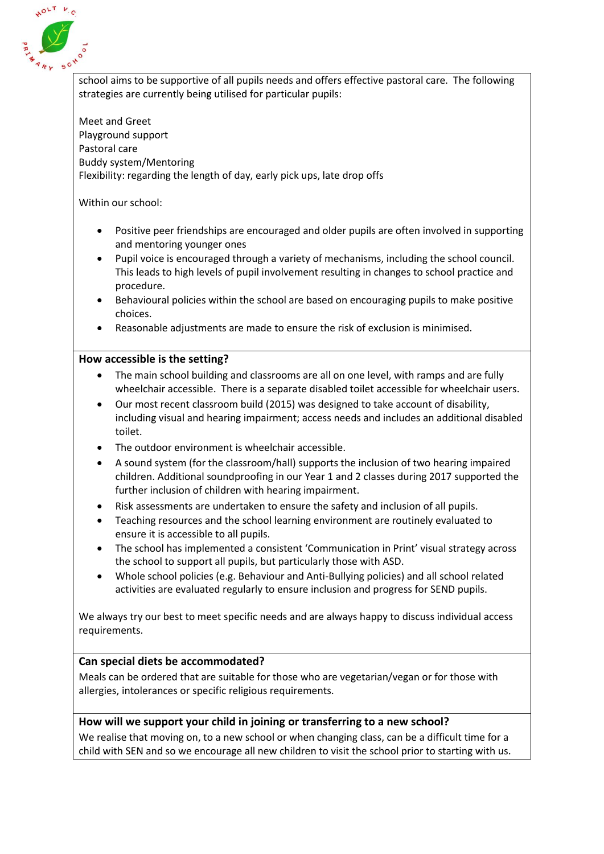

school aims to be supportive of all pupils needs and offers effective pastoral care. The following strategies are currently being utilised for particular pupils:

Meet and Greet Playground support Pastoral care Buddy system/Mentoring Flexibility: regarding the length of day, early pick ups, late drop offs

Within our school:

- Positive peer friendships are encouraged and older pupils are often involved in supporting and mentoring younger ones
- Pupil voice is encouraged through a variety of mechanisms, including the school council. This leads to high levels of pupil involvement resulting in changes to school practice and procedure.
- Behavioural policies within the school are based on encouraging pupils to make positive choices.
- Reasonable adjustments are made to ensure the risk of exclusion is minimised.

#### <span id="page-7-0"></span>**How accessible is the setting?**

- The main school building and classrooms are all on one level, with ramps and are fully wheelchair accessible. There is a separate disabled toilet accessible for wheelchair users.
- Our most recent classroom build (2015) was designed to take account of disability, including visual and hearing impairment; access needs and includes an additional disabled toilet.
- The outdoor environment is wheelchair accessible.
- A sound system (for the classroom/hall) supports the inclusion of two hearing impaired children. Additional soundproofing in our Year 1 and 2 classes during 2017 supported the further inclusion of children with hearing impairment.
- Risk assessments are undertaken to ensure the safety and inclusion of all pupils.
- Teaching resources and the school learning environment are routinely evaluated to ensure it is accessible to all pupils.
- The school has implemented a consistent 'Communication in Print' visual strategy across the school to support all pupils, but particularly those with ASD.
- Whole school policies (e.g. Behaviour and Anti-Bullying policies) and all school related activities are evaluated regularly to ensure inclusion and progress for SEND pupils.

We always try our best to meet specific needs and are always happy to discuss individual access requirements.

#### <span id="page-7-1"></span>**Can special diets be accommodated?**

Meals can be ordered that are suitable for those who are vegetarian/vegan or for those with allergies, intolerances or specific religious requirements.

#### <span id="page-7-2"></span>**How will we support your child in joining or transferring to a new school?**

We realise that moving on, to a new school or when changing class, can be a difficult time for a child with SEN and so we encourage all new children to visit the school prior to starting with us.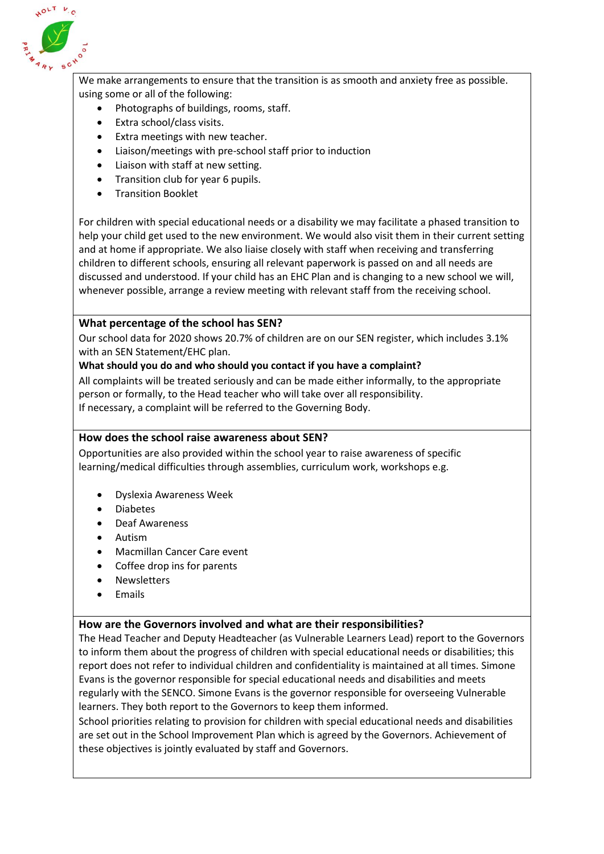

We make arrangements to ensure that the transition is as smooth and anxiety free as possible. using some or all of the following:

- Photographs of buildings, rooms, staff.
- Extra school/class visits.
- Extra meetings with new teacher.
- Liaison/meetings with pre-school staff prior to induction
- Liaison with staff at new setting.
- Transition club for year 6 pupils.
- Transition Booklet

For children with special educational needs or a disability we may facilitate a phased transition to help your child get used to the new environment. We would also visit them in their current setting and at home if appropriate. We also liaise closely with staff when receiving and transferring children to different schools, ensuring all relevant paperwork is passed on and all needs are discussed and understood. If your child has an EHC Plan and is changing to a new school we will, whenever possible, arrange a review meeting with relevant staff from the receiving school.

### <span id="page-8-0"></span>**What percentage of the school has SEN?**

Our school data for 2020 shows 20.7% of children are on our SEN register, which includes 3.1% with an SEN Statement/EHC plan.

#### **What should you do and who should you contact if you have a complaint?**

All complaints will be treated seriously and can be made either informally, to the appropriate person or formally, to the Head teacher who will take over all responsibility. If necessary, a complaint will be referred to the Governing Body.

#### <span id="page-8-1"></span>**How does the school raise awareness about SEN?**

Opportunities are also provided within the school year to raise awareness of specific learning/medical difficulties through assemblies, curriculum work, workshops e.g.

- Dyslexia Awareness Week
- Diabetes
- Deaf Awareness
- Autism
- Macmillan Cancer Care event
- Coffee drop ins for parents
- Newsletters
- Emails

#### <span id="page-8-2"></span>**How are the Governors involved and what are their responsibilities?**

The Head Teacher and Deputy Headteacher (as Vulnerable Learners Lead) report to the Governors to inform them about the progress of children with special educational needs or disabilities; this report does not refer to individual children and confidentiality is maintained at all times. Simone Evans is the governor responsible for special educational needs and disabilities and meets regularly with the SENCO. Simone Evans is the governor responsible for overseeing Vulnerable learners. They both report to the Governors to keep them informed.

School priorities relating to provision for children with special educational needs and disabilities are set out in the School Improvement Plan which is agreed by the Governors. Achievement of these objectives is jointly evaluated by staff and Governors.